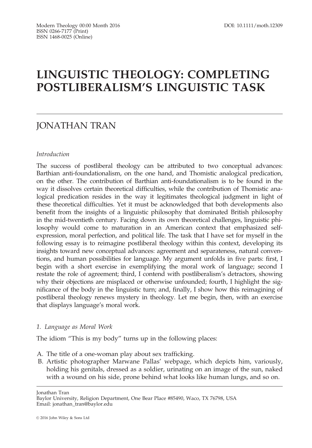# LINGUISTIC THEOLOGY: COMPLETING POSTLIBERALISM'S LINGUISTIC TASK

# JONATHAN TRAN

### Introduction

The success of postliberal theology can be attributed to two conceptual advances: Barthian anti-foundationalism, on the one hand, and Thomistic analogical predication, on the other. The contribution of Barthian anti-foundationalism is to be found in the way it dissolves certain theoretical difficulties, while the contribution of Thomistic analogical predication resides in the way it legitimates theological judgment in light of these theoretical difficulties. Yet it must be acknowledged that both developments also benefit from the insights of a linguistic philosophy that dominated British philosophy in the mid-twentieth century. Facing down its own theoretical challenges, linguistic philosophy would come to maturation in an American context that emphasized selfexpression, moral perfection, and political life. The task that I have set for myself in the following essay is to reimagine postliberal theology within this context, developing its insights toward new conceptual advances: agreement and separateness, natural conventions, and human possibilities for language. My argument unfolds in five parts: first, I begin with a short exercise in exemplifying the moral work of language; second I restate the role of agreement; third, I contend with postliberalism's detractors, showing why their objections are misplaced or otherwise unfounded; fourth, I highlight the significance of the body in the linguistic turn; and, finally, I show how this reimagining of postliberal theology renews mystery in theology. Let me begin, then, with an exercise that displays language's moral work.

# 1. Language as Moral Work

The idiom "This is my body" turns up in the following places:

- A. The title of a one-woman play about sex trafficking.
- B. Artistic photographer Marwane Pallas' webpage, which depicts him, variously, holding his genitals, dressed as a soldier, urinating on an image of the sun, naked with a wound on his side, prone behind what looks like human lungs, and so on.

Jonathan Tran

Baylor University, Religion Department, One Bear Place #85490, Waco, TX 76798, USA Email: jonathan\_tran@baylor.edu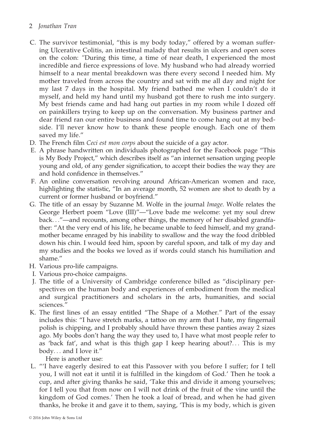# 2 Jonathan Tran

- C. The survivor testimonial, "this is my body today," offered by a woman suffering Ulcerative Colitis, an intestinal malady that results in ulcers and open sores on the colon: "During this time, a time of near death, I experienced the most incredible and fierce expressions of love. My husband who had already worried himself to a near mental breakdown was there every second I needed him. My mother traveled from across the country and sat with me all day and night for my last 7 days in the hospital. My friend bathed me when I couldn't do it myself, and held my hand until my husband got there to rush me into surgery. My best friends came and had hang out parties in my room while I dozed off on painkillers trying to keep up on the conversation. My business partner and dear friend ran our entire business and found time to come hang out at my bedside. I'll never know how to thank these people enough. Each one of them saved my life."
- D. The French film Ceci est mon corps about the suicide of a gay actor.
- E. A phrase handwritten on individuals photographed for the Facebook page "This is My Body Project," which describes itself as "an internet sensation urging people young and old, of any gender signification, to accept their bodies the way they are and hold confidence in themselves."
- F. An online conversation revolving around African-American women and race, highlighting the statistic, "In an average month, 52 women are shot to death by a current or former husband or boyfriend."
- G. The title of an essay by Suzanne M. Wolfe in the journal Image. Wolfe relates the George Herbert poem "Love (III)"—"Love bade me welcome: yet my soul drew back..."—and recounts, among other things, the memory of her disabled grandfather: "At the very end of his life, he became unable to feed himself, and my grandmother became enraged by his inability to swallow and the way the food dribbled down his chin. I would feed him, spoon by careful spoon, and talk of my day and my studies and the books we loved as if words could stanch his humiliation and shame."
- H. Various pro-life campaigns.
- I. Various pro-choice campaigns.
- J. The title of a University of Cambridge conference billed as "disciplinary perspectives on the human body and experiences of embodiment from the medical and surgical practitioners and scholars in the arts, humanities, and social sciences."
- K. The first lines of an essay entitled "The Shape of a Mother." Part of the essay includes this: "I have stretch marks, a tattoo on my arm that I hate, my fingernail polish is chipping, and I probably should have thrown these panties away 2 sizes ago. My boobs don't hang the way they used to, I have what most people refer to as 'back fat', and what is this thigh gap I keep hearing about?... This is my body... and I love it."

Here is another use:

L. "'I have eagerly desired to eat this Passover with you before I suffer; for I tell you, I will not eat it until it is fulfilled in the kingdom of God.' Then he took a cup, and after giving thanks he said, 'Take this and divide it among yourselves; for I tell you that from now on I will not drink of the fruit of the vine until the kingdom of God comes.' Then he took a loaf of bread, and when he had given thanks, he broke it and gave it to them, saying, 'This is my body, which is given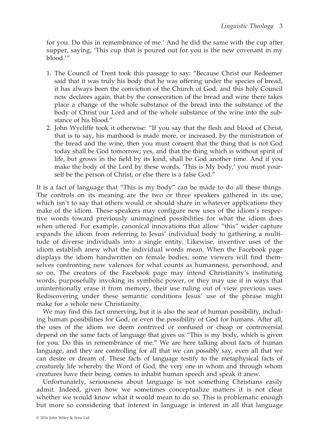for you. Do this in remembrance of me.' And he did the same with the cup after supper, saying, 'This cup that is poured out for you is the new covenant in my blood.'"

- 1. The Council of Trent took this passage to say: "Because Christ our Redeemer said that it was truly his body that he was offering under the species of bread, it has always been the conviction of the Church of God, and this holy Council now declares again, that by the consecration of the bread and wine there takes place a change of the whole substance of the bread into the substance of the body of Christ our Lord and of the whole substance of the wine into the substance of his blood."
- 2. John Wycliffe took it otherwise: "If you say that the flesh and blood of Christ, that is to say, his manhood is made more, or increased, by the ministration of the bread and the wine, then you must consent that the thing that is not God today shall be God tomorrow; yes, and that the thing which is without spirit of life, but grows in the field by its kind, shall be God another time. And if you make the body of the Lord by these words, 'This is My body,' you must yourself be the person of Christ, or else there is a false God."

It is a fact of language that "This is my body" can be made to do all these things. The controls on its meaning are the two or three speakers gathered in its use, which isn't to say that others would or should share in whatever applications they make of the idiom. These speakers may configure new uses of the idiom's respective words toward previously unimagined possibilities for what the idiom does when uttered. For example, canonical innovations that allow "this" wider capture expands the idiom from referring to Jesus' individual body to gathering a multitude of diverse individuals into a single entity. Likewise, inventive uses of the idiom establish anew what the individual words mean. When the Facebook page displays the idiom handwritten on female bodies, some viewers will find themselves confronting new valences for what counts as humanness, personhood, and so on. The creators of the Facebook page may intend Christianity's instituting words, purposefully invoking its symbolic power, or they may use it in ways that unintentionally erase it from memory, their use ruling out of view previous uses. Rediscovering under these semantic conditions Jesus' use of the phrase might make for a whole new Christianity.

We may find this fact unnerving, but it is also the seat of human possibility, including human possibilities for God, or even the possibility of God for humans. After all, the uses of the idiom we deem contrived or confused or cheap or controversial depend on the same facts of language that gives us "This is my body, which is given for you. Do this in remembrance of me." We are here talking about facts of human language, and they are controlling for all that we can possibly say, even all that we can desire or dream of. These facts of language testify to the metaphysical facts of creaturely life whereby the Word of God, the very one in whom and through whom creatures have their being, comes to inhabit human speech and speak it anew.

Unfortunately, seriousness about language is not something Christians easily admit. Indeed, given how we sometimes conceptualize matters it is not clear whether we would know what it would mean to do so. This is problematic enough but more so considering that interest in language is interest in all that language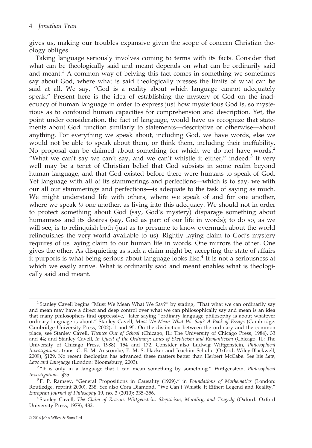gives us, making our troubles expansive given the scope of concern Christian theology obliges.

Taking language seriously involves coming to terms with its facts. Consider that what can be theologically said and meant depends on what can be ordinarily said and meant.<sup>1</sup> A common way of belying this fact comes in something we sometimes say about God, where what is said theologically presses the limits of what can be said at all. We say, "God is a reality about which language cannot adequately speak." Present here is the idea of establishing the mystery of God on the inadequacy of human language in order to express just how mysterious God is, so mysterious as to confound human capacities for comprehension and description. Yet, the point under consideration, the fact of language, would have us recognize that statements about God function similarly to statements—descriptive or otherwise—about anything. For everything we speak about, including God, we have words, else we would not be able to speak about them, or think them, including their ineffability. No proposal can be claimed about something for which we do not have words.<sup>2</sup> "What we can't say we can't say, and we can't whistle it either," indeed. $3$  It very well may be a tenet of Christian belief that God subsists in some realm beyond human language, and that God existed before there were humans to speak of God. Yet language with all of its stammerings and perfections—which is to say, we with our all our stammerings and perfections—is adequate to the task of saying as much. We might understand life with others, where we speak of and for one another, where we speak to one another, as living into this adequacy. We should not in order to protect something about God (say, God's mystery) disparage something about humanness and its desires (say, God as part of our life in words); to do so, as we will see, is to relinquish both (just as to presume to know overmuch about the world relinquishes the very world available to us). Rightly laying claim to God's mystery requires of us laying claim to our human life in words. One mirrors the other. One gives the other. As disquieting as such a claim might be, accepting the state of affairs it purports is what being serious about language looks like.<sup>4</sup> It is not a seriousness at which we easily arrive. What is ordinarily said and meant enables what is theologically said and meant.

<sup>&</sup>lt;sup>1</sup> Stanley Cavell begins "Must We Mean What We Say?" by stating, "That what we can ordinarily say and mean may have a direct and deep control over what we can philosophically say and mean is an idea that many philosophers find oppressive," later saying "ordinary language philosophy is about whatever ordinary language is about." Stanley Cavell, Must We Mean What We Say? A Book of Essays (Cambridge: Cambridge University Press, 2002), 1 and 95. On the distinction between the ordinary and the common place, see Stanley Cavell, Themes Out of School (Chicago, IL: The University of Chicago Press, 1984), 33 and 44; and Stanley Cavell, In Quest of the Ordinary: Lines of Skepticism and Romanticism (Chicago, IL: The University of Chicago Press, 1988), 154 and 172. Consider also Ludwig Wittgenstein, Philosophical Investigations, trans. G. E. M. Anscombe, P. M. S. Hacker and Joachim Schulte (Oxford: Wiley-Blackwell, 2009), §129. No recent theologian has advanced these matters better than Herbert McCabe. See his Law, Love and Language (London: Bloomsbury, 2003).

 $2$  "It is only in a language that I can mean something by something." Wittgenstein, Philosophical Investigations, §35.

<sup>&</sup>lt;sup>3</sup> F. P. Ramsey, "General Propositions in Causality (1929)," in Foundations of Mathematics (London: Routledge, reprint 2000), 238. See also Cora Diamond, "We Can't Whistle It Either: Legend and Reality," European Journal of Philosophy 19, no. 3 (2010): 335–356.

<sup>4</sup> Stanley Cavell, The Claim of Reason: Wittgenstein, Skepticism, Morality, and Tragedy (Oxford: Oxford University Press, 1979), 482.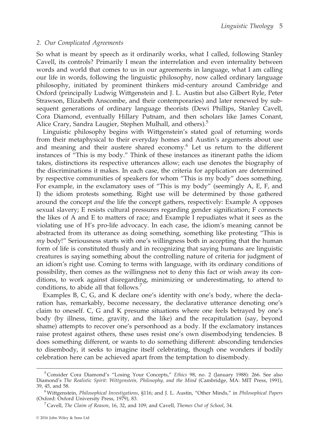#### 2. Our Complicated Agreements

So what is meant by speech as it ordinarily works, what I called, following Stanley Cavell, its controls? Primarily I mean the interrelation and even internality between words and world that comes to us in our agreements in language, what I am calling our life in words, following the linguistic philosophy, now called ordinary language philosophy, initiated by prominent thinkers mid-century around Cambridge and Oxford (principally Ludwig Wittgenstein and J. L. Austin but also Gilbert Ryle, Peter Strawson, Elizabeth Anscombe, and their contemporaries) and later renewed by subsequent generations of ordinary language theorists (Dewi Phillips, Stanley Cavell, Cora Diamond, eventually Hillary Putnam, and then scholars like James Conant, Alice Crary, Sandra Laugier, Stephen Mulhall, and others).<sup>5</sup>

Linguistic philosophy begins with Wittgenstein's stated goal of returning words from their metaphysical to their everyday homes and Austin's arguments about use and meaning and their austere shared economy.<sup>6</sup> Let us return to the different instances of "This is my body." Think of these instances as itinerant paths the idiom takes, distinctions its respective utterances allow; each use denotes the biography of the discriminations it makes. In each case, the criteria for application are determined by respective communities of speakers for whom "This is my body" does something. For example, in the exclamatory uses of "This is my body" (seemingly A, E, F, and I) the idiom protests something. Right use will be determined by those gathered around the concept and the life the concept gathers, respectively: Example A opposes sexual slavery; E resists cultural pressures regarding gender signification; F connects the likes of A and E to matters of race; and Example I repudiates what it sees as the violating use of H's pro-life advocacy. In each case, the idiom's meaning cannot be abstracted from its utterance as doing something, something like protesting "This is my body!" Seriousness starts with one's willingness both in accepting that the human form of life is constituted thusly and in recognizing that saying humans are linguistic creatures is saying something about the controlling nature of criteria for judgment of an idiom's right use. Coming to terms with language, with its ordinary conditions of possibility, then comes as the willingness not to deny this fact or wish away its conditions, to work against disregarding, minimizing or underestimating, to attend to conditions, to abide all that follows.<sup>7</sup>

Examples B, C, G, and K declare one's identity with one's body, where the declaration has, remarkably, become necessary, the declarative utterance denoting one's claim to oneself. C, G and K presume situations where one feels betrayed by one's body (by illness, time, gravity, and the like) and the recapitulation (say, beyond shame) attempts to recover one's personhood as a body. If the exclamatory instances raise protest against others, these uses resist one's own disembodying tendencies. B does something different, or wants to do something different: absconding tendencies to disembody, it seeks to imagine itself celebrating, though one wonders if bodily celebration here can be achieved apart from the temptation to disembody.

<sup>5</sup> Consider Cora Diamond's "Losing Your Concepts," Ethics 98, no. 2 (January 1988): 266. See also Diamond's The Realistic Spirit: Wittgenstein, Philosophy, and the Mind (Cambridge, MA: MIT Press, 1991), 39, 45, and 58.

<sup>6</sup>Wittgenstein, Philosophical Investigations, §116; and J. L. Austin, "Other Minds," in Philosophical Papers (Oxford: Oxford University Press, 1979), 83.

<sup>7</sup> Cavell, The Claim of Reason, 16, 32, and 109; and Cavell, Themes Out of School, 34.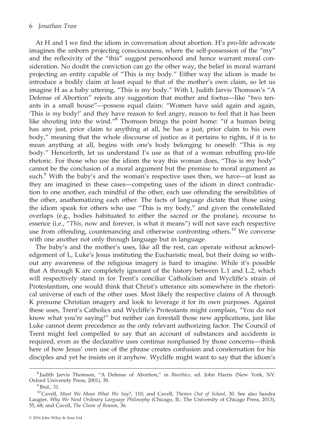#### 6 Jonathan Tran

At H and I we find the idiom in conversation about abortion. H's pro-life advocate imagines the unborn projecting consciousness, where the self-possession of the "my" and the reflexivity of the "this" suggest personhood and hence warrant moral consideration. No doubt the conviction can go the other way, the belief in moral warrant projecting an entity capable of "This is my body." Either way the idiom is made to introduce a bodily claim at least equal to that of the mother's own claim, so let us imagine H as a baby uttering, "This is my body." With I, Judith Jarvis Thomson's "A Defense of Abortion" rejects any suggestion that mother and foetus—like "two tenants in a small house"—possess equal claim: "Women have said again and again, 'This is my body!' and they have reason to feel angry, reason to feel that it has been like shouting into the wind."8 Thomson brings the point home: "if a human being has any just, prior claim to anything at all, he has a just, prior claim to his own body," meaning that the whole discourse of justice as it pertains to rights, if it is to mean anything at all, begins with one's body belonging to oneself: "This is my body." Henceforth, let us understand I's use as that of a woman rebuffing pro-life rhetoric. For those who use the idiom the way this woman does, "This is my body" cannot be the conclusion of a moral argument but the premise to moral argument as such. $9$  With the baby's and the woman's respective uses then, we have—at least as they are imagined in these cases—competing uses of the idiom in direct contradiction to one another, each mindful of the other, each use offending the sensibilities of the other, anathematizing each other. The facts of language dictate that those using the idiom speak for others who use "This is my body," and given the constellated overlaps (e.g., bodies habituated to either the sacred or the profane), recourse to essence (i.e., "This, now and forever, is what it means") will not save each respective use from offending, countenancing and otherwise confronting others.<sup>10</sup> We converse with one another not only through language but in language.

The baby's and the mother's uses, like all the rest, can operate without acknowledgement of L, Luke's Jesus instituting the Eucharistic meal, but their doing so without any awareness of the religious imagery is hard to imagine. While it's possible that A through K are completely ignorant of the history between L.1 and L.2, which will respectively stand in for Trent's conciliar Catholicism and Wycliffe's strain of Protestantism, one would think that Christ's utterance sits somewhere in the rhetorical universe of each of the other uses. Most likely the respective claims of A through K presume Christian imagery and look to leverage it for its own purposes. Against these uses, Trent's Catholics and Wycliffe's Protestants might complain, "You do not know what you're saying!" but neither can forestall those new applications, just like Luke cannot deem precedence as the only relevant authorizing factor. The Council of Trent might feel compelled to say that an account of substances and accidents is required, even as the declarative uses continue nonplussed by those concerns—think here of how Jesus' own use of the phrase creates confusion and consternation for his disciples and yet he insists on it anyhow. Wycliffe might want to say that the idiom's

<sup>8</sup> Judith Jarvis Thomson, "A Defense of Abortion," in Bioethics, ed. John Harris (New York, NY: Oxford University Press, 2001), 30.

<sup>&</sup>lt;sup>9</sup> Ibid., 31.

 $10$  Cavell, Must We Mean What We Say?, 110; and Cavell, Themes Out of School, 30. See also Sandra Laugier, Why We Need Ordinary Language Philosophy (Chicago, IL: The University of Chicago Press, 2013), 55, 68; and Cavell, The Claim of Reason, 36.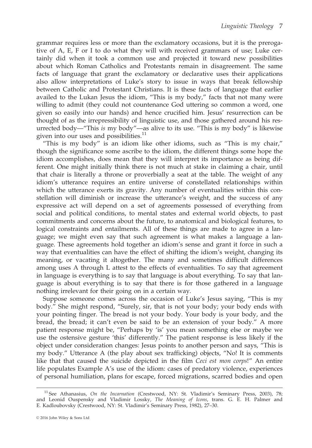grammar requires less or more than the exclamatory occasions, but it is the prerogative of A, E, F or I to do what they will with received grammars of use; Luke certainly did when it took a common use and projected it toward new possibilities about which Roman Catholics and Protestants remain in disagreement. The same facts of language that grant the exclamatory or declarative uses their applications also allow interpretations of Luke's story to issue in ways that break fellowship between Catholic and Protestant Christians. It is these facts of language that earlier availed to the Lukan Jesus the idiom, "This is my body," facts that not many were willing to admit (they could not countenance God uttering so common a word, one given so easily into our hands) and hence crucified him. Jesus' resurrection can be thought of as the irrepressibility of linguistic use, and those gathered around his resurrected body—"This is my body"—as alive to its use. "This is my body" is likewise given into our uses and possibilities.<sup>11</sup>

"This is my body" is an idiom like other idioms, such as "This is my chair," though the significance some ascribe to the idiom, the different things some hope the idiom accomplishes, does mean that they will interpret its importance as being different. One might initially think there is not much at stake in claiming a chair, until that chair is literally a throne or proverbially a seat at the table. The weight of any idiom's utterance requires an entire universe of constellated relationships within which the utterance exerts its gravity. Any number of eventualities within this constellation will diminish or increase the utterance's weight, and the success of any expressive act will depend on a set of agreements possessed of everything from social and political conditions, to mental states and external world objects, to past commitments and concerns about the future, to anatomical and biological features, to logical constraints and entailments. All of these things are made to agree in a language; we might even say that such agreement is what makes a language a language. These agreements hold together an idiom's sense and grant it force in such a way that eventualities can have the effect of shifting the idiom's weight, changing its meaning, or vacating it altogether. The many and sometimes difficult differences among uses A through L attest to the effects of eventualities. To say that agreement in language is everything is to say that language is about everything. To say that language is about everything is to say that there is for those gathered in a language nothing irrelevant for their going on in a certain way.

Suppose someone comes across the occasion of Luke's Jesus saying, "This is my body." She might respond, "Surely, sir, that is not your body; your body ends with your pointing finger. The bread is not your body. Your body is your body, and the bread, the bread; it can't even be said to be an extension of your body." A more patient response might be, "Perhaps by 'is' you mean something else or maybe we use the ostensive gesture 'this' differently." The patient response is less likely if the object under consideration changes: Jesus points to another person and says, "This is my body." Utterance A (the play about sex trafficking) objects, "No! It is comments like that that caused the suicide depicted in the film Ceci est mon corps!" An entire life populates Example A's use of the idiom: cases of predatory violence, experiences of personal humiliation, plans for escape, forced migrations, scarred bodies and open

<sup>&</sup>lt;sup>11</sup> See Athanasius, On the Incarnation (Crestwood, NY: St. Vladimir's Seminary Press, 2003), 78; and Leonid Ouspensky and Vladimir Lossky, The Meaning of Icons, trans. G. E. H. Palmer and E. Kadloubovsky (Crestwood, NY: St. Vladimir's Seminary Press, 1982), 27–30.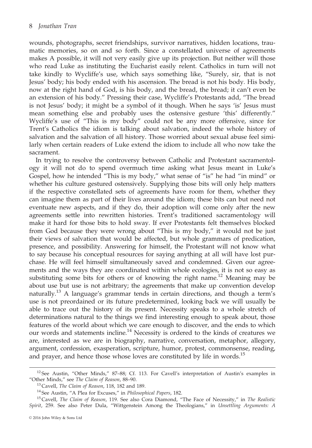wounds, photographs, secret friendships, survivor narratives, hidden locations, traumatic memories, so on and so forth. Since a constellated universe of agreements makes A possible, it will not very easily give up its projection. But neither will those who read Luke as instituting the Eucharist easily relent. Catholics in turn will not take kindly to Wycliffe's use, which says something like, "Surely, sir, that is not Jesus' body; his body ended with his ascension. The bread is not his body. His body, now at the right hand of God, is his body, and the bread, the bread; it can't even be an extension of his body." Pressing their case, Wycliffe's Protestants add, "The bread is not Jesus' body; it might be a symbol of it though. When he says 'is' Jesus must mean something else and probably uses the ostensive gesture 'this' differently." Wycliffe's use of "This is my body" could not be any more offensive, since for Trent's Catholics the idiom is talking about salvation, indeed the whole history of salvation and the salvation of all history. Those worried about sexual abuse feel similarly when certain readers of Luke extend the idiom to include all who now take the sacrament.

In trying to resolve the controversy between Catholic and Protestant sacramentology it will not do to spend overmuch time asking what Jesus meant in Luke's Gospel, how he intended "This is my body," what sense of "is" he had "in mind" or whether his culture gestured ostensively. Supplying those bits will only help matters if the respective constellated sets of agreements have room for them, whether they can imagine them as part of their lives around the idiom; these bits can but need not eventuate new aspects, and if they do, their adoption will come only after the new agreements settle into rewritten histories. Trent's traditioned sacramentology will make it hard for those bits to hold sway. If ever Protestants felt themselves blocked from God because they were wrong about "This is my body," it would not be just their views of salvation that would be affected, but whole grammars of predication, presence, and possibility. Answering for himself, the Protestant will not know what to say because his conceptual resources for saying anything at all will have lost purchase. He will feel himself simultaneously saved and condemned. Given our agreements and the ways they are coordinated within whole ecologies, it is not so easy as substituting some bits for others or of knowing the right name.<sup>12</sup> Meaning may be about use but use is not arbitrary; the agreements that make up convention develop naturally.<sup>13</sup> A language's grammar tends in certain directions, and though a term's use is not preordained or its future predetermined, looking back we will usually be able to trace out the history of its present. Necessity speaks to a whole stretch of determinations natural to the things we find interesting enough to speak about, those features of the world about which we care enough to discover, and the ends to which our words and statements incline.<sup>14</sup> Necessity is ordered to the kinds of creatures we are, interested as we are in biography, narrative, conversation, metaphor, allegory, argument, confession, exasperation, scripture, humor, protest, commonsense, reading, and prayer, and hence those whose loves are constituted by life in words.<sup>15</sup>

 $12$  See Austin, "Other Minds," 87–88; Cf. 113. For Cavell's interpretation of Austin's examples in "Other Minds," see The Claim of Reason, 88–90.

<sup>&</sup>lt;sup>13</sup> Cavell, The Claim of Reason, 118, 182 and 189.

<sup>14</sup> See Austin, "A Plea for Excuses," in Philosophical Papers, 182.

<sup>&</sup>lt;sup>15</sup> Cavell, The Claim of Reason, 119. See also Cora Diamond, "The Face of Necessity," in The Realistic Spirit, 259. See also Peter Dula, "Wittgenstein Among the Theologians," in Unsettling Arguments: A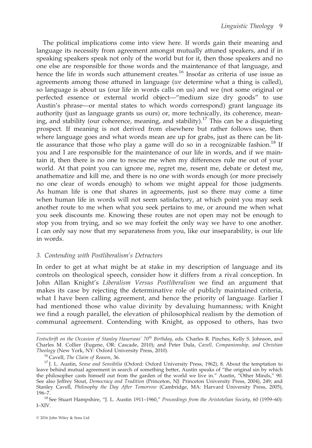The political implications come into view here. If words gain their meaning and language its necessity from agreement amongst mutually attuned speakers, and if in speaking speakers speak not only of the world but for it, then those speakers and no one else are responsible for those words and the maintenance of that language, and hence the life in words such attunement creates.<sup>16</sup> Insofar as criteria of use issue as agreements among those attuned in language (we determine what a thing is called), so language is about us (our life in words calls on us) and we (not some original or perfected essence or external world object—"medium size dry goods" to use Austin's phrase—or mental states to which words correspond) grant language its authority (just as language grants us ours) or, more technically, its coherence, meaning, and stability (our coherence, meaning, and stability).<sup>17</sup> This can be a disquieting prospect. If meaning is not derived from elsewhere but rather follows use, then where language goes and what words mean are up for grabs, just as there can be little assurance that those who play a game will do so in a recognizable fashion.<sup>18</sup> If you and I are responsible for the maintenance of our life in words, and if we maintain it, then there is no one to rescue me when my differences rule me out of your world. At that point you can ignore me, regret me, resent me, debate or detest me, anathematize and kill me, and there is no one with words enough (or more precisely no one clear of words enough) to whom we might appeal for those judgments. As human life is one that shares in agreements, just so there may come a time when human life in words will not seem satisfactory, at which point you may seek another route to me when what you seek pertains to me, or around me when what you seek discounts me. Knowing these routes are not open may not be enough to stop you from trying, and so we may forfeit the only way we have to one another. I can only say now that my separateness from you, like our inseparability, is our life in words.

# 3. Contending with Postliberalism's Detractors

In order to get at what might be at stake in my description of language and its controls on theological speech, consider how it differs from a rival conception. In John Allan Knight's Liberalism Versus Postliberalism we find an argument that makes its case by rejecting the determinative role of publicly maintained criteria, what I have been calling agreement, and hence the priority of language. Earlier I had mentioned those who value divinity by devaluing humanness; with Knight we find a rough parallel, the elevation of philosophical realism by the demotion of communal agreement. Contending with Knight, as opposed to others, has two

Festschrift on the Occasion of Stanley Hauerwas' 70<sup>th</sup> Birthday, eds. Charles R. Pinches, Kelly S. Johnson, and Charles M. Collier (Eugene, OR: Cascade, 2010); and Peter Dula, Cavell, Companionship, and Christian Theology (New York, NY: Oxford University Press, 2010).

<sup>&</sup>lt;sup>16</sup> Cavell, The Claim of Reason, 36.

<sup>&</sup>lt;sup>17</sup> J. L. Austin, Sense and Sensibilia (Oxford: Oxford University Press, 1962), 8. About the temptation to leave behind mutual agreement in search of something better, Austin speaks of "the original sin by which the philosopher casts himself out from the garden of the world we live in." Austin, "Other Minds," 90. See also Jeffrey Stout, Democracy and Tradition (Princeton, NJ: Princeton University Press, 2004), 249; and Stanley Cavell, Philosophy the Day After Tomorrow (Cambridge, MA: Harvard University Press, 2005), 196–7.

<sup>&</sup>lt;sup>18</sup> See Stuart Hampshire, "J. L. Austin 1911–1960," Proceedings from the Aristotelian Society, 60 (1959–60): I–XIV.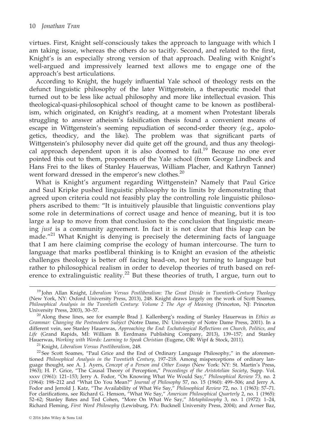virtues. First, Knight self-consciously takes the approach to language with which I am taking issue, whereas the others do so tacitly. Second, and related to the first, Knight's is an especially strong version of that approach. Dealing with Knight's well-argued and impressively learned text allows me to engage one of the approach's best articulations.

According to Knight, the hugely influential Yale school of theology rests on the defunct linguistic philosophy of the later Wittgenstein, a therapeutic model that turned out to be less like actual philosophy and more like intellectual evasion. This theological-quasi-philosophical school of thought came to be known as postliberalism, which originated, on Knight's reading, at a moment when Protestant liberals struggling to answer atheism's falsification thesis found a convenient means of escape in Wittgenstein's seeming repudiation of second-order theory (e.g., apologetics, theodicy, and the like). The problem was that significant parts of Wittgenstein's philosophy never did quite get off the ground, and thus any theological approach dependent upon it is also doomed to fail.<sup>19</sup> Because no one ever pointed this out to them, proponents of the Yale school (from George Lindbeck and Hans Frei to the likes of Stanley Hauerwas, William Placher, and Kathryn Tanner) went forward dressed in the emperor's new clothes.<sup>20</sup>

What is Knight's argument regarding Wittgenstein? Namely that Paul Grice and Saul Kripke pushed linguistic philosophy to its limits by demonstrating that agreed upon criteria could not feasibly play the controlling role linguistic philosophers ascribed to them: "It is intuitively plausible that linguistic conventions play some role in determinations of correct usage and hence of meaning, but it is too large a leap to move from that conclusion to the conclusion that linguistic meaning just is a community agreement. In fact it is not clear that this leap can be made."<sup>21</sup> What Knight is denying is precisely the determining facts of language that I am here claiming comprise the ecology of human intercourse. The turn to language that marks postliberal thinking is to Knight an evasion of the atheistic challenges theology is better off facing head-on, not by turning to language but rather to philosophical realism in order to develop theories of truth based on reference to extralinguistic reality.<sup>22</sup> But these theories of truth, I argue, turn out to

<sup>21</sup> Knight, Liberalism Versus Postliberalism, 248.

<sup>&</sup>lt;sup>19</sup> John Allan Knight, Liberalism Versus Postliberalism: The Great Divide in Twentieth–Century Theology (New York, NY: Oxford University Press, 2013), 248. Knight draws largely on the work of Scott Soames, Philosophical Analysis in the Twentieth Century: Volume 2 The Age of Meaning (Princeton, NJ: Princeton University Press, 2003), 30–57.

<sup>&</sup>lt;sup>20</sup> Along these lines, see for example Brad J. Kallenberg's reading of Stanley Hauerwas in *Ethics as* Grammar: Changing the Postmodern Subject (Notre Dame, IN: University of Notre Dame Press, 2001). In a different vein, see Stanley Hauerwas, Approaching the End: Eschatological Reflections on Church, Politics, and Life (Grand Rapids, MI: William B. Eerdmans Publishing Company, 2013), 139–157; and Stanley Hauerwas, Working with Words: Learning to Speak Christian (Eugene, OR: Wipf & Stock, 2011).

<sup>&</sup>lt;sup>22</sup> See Scott Soames, "Paul Grice and the End of Ordinary Language Philosophy," in the aforementioned *Philosophical Analysis in the Twentieth Century*, 197–218. Among misperceptions of ordinary lantioned Philosophical Analysis in the Twentieth Century, 197–218. Among misperceptions of ordinary language thought, see A. J. Ayers, Concept of a Person and Other Essays (New York: NY: St. Martin's Press, 1963); H. P. Grice, "The Causal Theory of Perception," Proceedings of the Aristotelian Society, Supp. Vol. xxxv (1961): 121–153; Jerry A. Fodor, "On Knowing What We Would Say," Philosophical Review 73, no. 2 (1964): 198–212 and "What Do You Mean?" Journal of Philosophy 57, no. 15 (1960): 499–506; and Jerry A. Fodor and Jerrold J. Katz, "The Availability of What We Say," Philosophical Review 72, no. 1 (1963): 57–71. For clarifications, see Richard G. Henson, "What We Say," American Philosophical Quarterly 2, no. 1 (1965): 52–62; Stanley Bates and Ted Cohen, "More On What We Say," Metaphilosophy 3, no. 1 (1972): 1–24, Richard Fleming, First Word Philosophy (Lewisburg, PA: Bucknell University Press, 2004); and Avner Baz,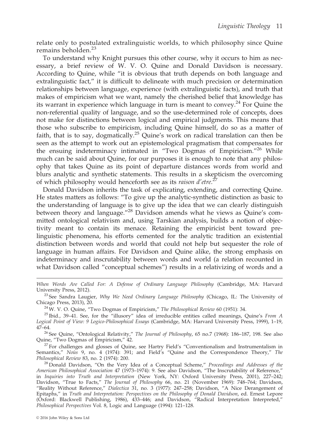relate only to postulated extralinguistic worlds, to which philosophy since Quine remains beholden.<sup>23</sup>

To understand why Knight pursues this other course, why it occurs to him as necessary, a brief review of W. V. O. Quine and Donald Davidson is necessary. According to Quine, while "it is obvious that truth depends on both language and extralinguistic fact," it is difficult to delineate with much precision or determination relationships between language, experience (with extralinguistic facts), and truth that makes of empiricism what we want, namely the cherished belief that knowledge has its warrant in experience which language in turn is meant to convey.<sup>24</sup> For Quine the non-referential quality of language, and so the use-determined role of concepts, does not make for distinctions between logical and empirical judgments. This means that those who subscribe to empiricism, including Quine himself, do so as a matter of faith, that is to say, dogmatically.<sup>25</sup> Quine's work on radical translation can then be seen as the attempt to work out an epistemological pragmatism that compensates for the ensuing indeterminacy intimated in "Two Dogmas of Empiricism."<sup>26</sup> While much can be said about Quine, for our purposes it is enough to note that any philosophy that takes Quine as its point of departure distances words from world and blurs analytic and synthetic statements. This results in a skepticism the overcoming of which philosophy would henceforth see as its raison d'etre.<sup>27</sup>

Donald Davidson inherits the task of explicating, extending, and correcting Quine. He states matters as follows: "To give up the analytic-synthetic distinction as basic to the understanding of language is to give up the idea that we can clearly distinguish between theory and language."<sup>28</sup> Davidson amends what he views as Quine's committed ontological relativism and, using Tarskian analysis, builds a notion of objectivity meant to contain its menace. Retaining the empiricist bent toward prelinguistic phenomena, his efforts cemented for the analytic tradition an existential distinction between words and world that could not help but sequester the role of language in human affairs. For Davidson and Quine alike, the strong emphasis on indeterminacy and inscrutability between words and world (a relation recounted in what Davidson called "conceptual schemes") results in a relativizing of words and a

When Words Are Called For: A Defense of Ordinary Language Philosophy (Cambridge, MA: Harvard University Press, 2012).

<sup>23</sup> See Sandra Laugier, Why We Need Ordinary Language Philosophy (Chicago, IL: The University of Chicago Press, 2013), 20.

 $24$ W. V. O. Quine, "Two Dogmas of Empiricism," The Philosophical Review 60 (1951): 34.

<sup>25</sup> Ibid., 39–41. See, for the "illusory" idea of irreducible entities called meanings, Quine's From A Logical Point of View: 9 Logico-Philosophical Essays (Cambridge, MA: Harvard University Press, 1999), 1–19, 47–64.

<sup>26</sup> See Quine, "Ontological Relativity," The Journal of Philosophy, 65 no.7 (1968): 186–187, 198. See also Quine, "Two Dogmas of Empiricism," 42.

 $^{27}$  For challenges and glosses of Quine, see Hartry Field's "Conventionalism and Instrumentalism in Semantics," Noûs 9, no. 4 (1974): 391; and Field's "Quine and the Correspondence Theory," The Philosophical Review 83, no. 2 (1974): 200.

<sup>&</sup>lt;sup>28</sup> Donald Davidson, "On the Very Idea of a Conceptual Scheme," Proceedings and Addresses of the American Philosophical Association 47 (1973–1974): 9. See also Davidson, "The Inscrutability of Reference," in Inquiries into Truth and Interpretation (New York, NY: Oxford University Press, 2001), 227–242; Davidson, "True to Facts," The Journal of Philosophy 66, no. 21 (November 1969): 748–764; Davidson, "Reality Without Reference," Dialectica 31, no. 3 (1977): 247–258; Davidson, "A Nice Derangement of Epitaphs," in Truth and Interpretation: Perspectives on the Philosophy of Donald Davidson, ed. Ernest Lepore (Oxford: Blackwell Publishing, 1986), 433–446; and Davidson, "Radical Interpretation Interpreted," Philosophical Perspectives Vol. 8, Logic and Language (1994): 121–128.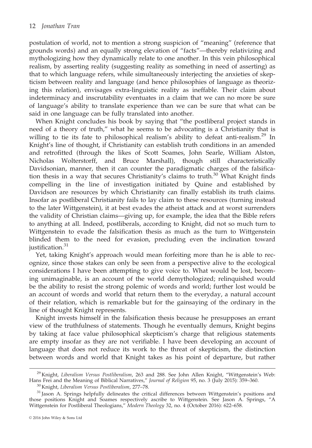postulation of world, not to mention a strong suspicion of "meaning" (reference that grounds words) and an equally strong elevation of "facts"—thereby relativizing and mythologizing how they dynamically relate to one another. In this vein philosophical realism, by asserting reality (suggesting reality as something in need of asserting) as that to which language refers, while simultaneously interjecting the anxieties of skepticism between reality and language (and hence philosophies of language as theorizing this relation), envisages extra-linguistic reality as ineffable. Their claim about indeterminacy and inscrutability eventuates in a claim that we can no more be sure of language's ability to translate experience than we can be sure that what can be said in one language can be fully translated into another.

When Knight concludes his book by saying that "the postliberal project stands in need of a theory of truth," what he seems to be advocating is a Christianity that is willing to tie its fate to philosophical realism's ability to defeat anti-realism.<sup>29</sup> In Knight's line of thought, if Christianity can establish truth conditions in an amended and retrofitted (through the likes of Scott Soames, John Searle, William Alston, Nicholas Wolterstorff, and Bruce Marshall), though still characteristically Davidsonian, manner, then it can counter the paradigmatic charges of the falsification thesis in a way that secures Christianity's claims to truth.30 What Knight finds compelling in the line of investigation initiated by Quine and established by Davidson are resources by which Christianity can finally establish its truth claims. Insofar as postliberal Christianity fails to lay claim to these resources (turning instead to the later Wittgenstein), it at best evades the atheist attack and at worst surrenders the validity of Christian claims—giving up, for example, the idea that the Bible refers to anything at all. Indeed, postliberals, according to Knight, did not so much turn to Wittgenstein to evade the falsification thesis as much as the turn to Wittgenstein blinded them to the need for evasion, precluding even the inclination toward justification.<sup>31</sup>

Yet, taking Knight's approach would mean forfeiting more than he is able to recognize, since those stakes can only be seen from a perspective alive to the ecological considerations I have been attempting to give voice to. What would be lost, becoming unimaginable, is an account of the world demythologized; relinquished would be the ability to resist the strong polemic of words and world; further lost would be an account of words and world that return them to the everyday, a natural account of their relation, which is remarkable but for the gainsaying of the ordinary in the line of thought Knight represents.

Knight invests himself in the falsification thesis because he presupposes an errant view of the truthfulness of statements. Though he eventually demurs, Knight begins by taking at face value philosophical skepticism's charge that religious statements are empty insofar as they are not verifiable. I have been developing an account of language that does not reduce its work to the threat of skepticism, the distinction between words and world that Knight takes as his point of departure, but rather

 $29$  Knight, Liberalism Versus Postliberalism, 263 and 288. See John Allen Knight, "Wittgenstein's Web: Hans Frei and the Meaning of Biblical Narratives," Journal of Religion 95, no. 3 (July 2015): 359–360.

<sup>30</sup> Knight, Liberalism Versus Postliberalism, 277–78.

<sup>31</sup> Jason A. Springs helpfully delineates the critical differences between Wittgenstein's positions and those positions Knight and Soames respectively ascribe to Wittgenstein. See Jason A. Springs, "A Wittgenstein for Postliberal Theologians," Modern Theology 32, no. 4 (October 2016): 622–658.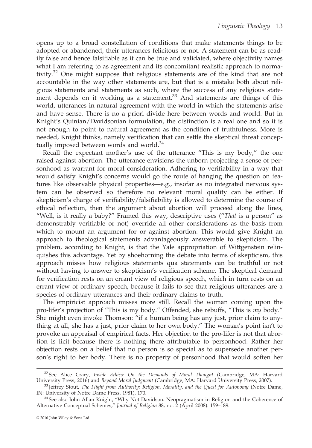opens up to a broad constellation of conditions that make statements things to be adopted or abandoned, their utterances felicitous or not. A statement can be as readily false and hence falsifiable as it can be true and validated, where objectivity names what I am referring to as agreement and its concomitant realistic approach to normativity.32 One might suppose that religious statements are of the kind that are not accountable in the way other statements are, but that is a mistake both about religious statements and statements as such, where the success of any religious statement depends on it working as a statement.<sup>33</sup> And statements are things of this world, utterances in natural agreement with the world in which the statements arise and have sense. There is no a priori divide here between words and world. But in Knight's Quinian/Davidsonian formulation, the distinction is a real one and so it is not enough to point to natural agreement as the condition of truthfulness. More is needed, Knight thinks, namely verification that can settle the skeptical threat conceptually imposed between words and world.<sup>34</sup>

Recall the expectant mother's use of the utterance "This is my body," the one raised against abortion. The utterance envisions the unborn projecting a sense of personhood as warrant for moral consideration. Adhering to verifiability in a way that would satisfy Knight's concerns would go the route of hanging the question on features like observable physical properties—e.g., insofar as no integrated nervous system can be observed so therefore no relevant moral quality can be either. If skepticism's charge of verifiability/falsifiability is allowed to determine the course of ethical reflection, then the argument about abortion will proceed along the lines, "Well, is it really a baby?" Framed this way, descriptive uses ("That is a person" as demonstrably verifiable or not) override all other considerations as the basis from which to mount an argument for or against abortion. This would give Knight an approach to theological statements advantageously answerable to skepticism. The problem, according to Knight, is that the Yale appropriation of Wittgenstein relinquishes this advantage. Yet by shoehorning the debate into terms of skepticism, this approach misses how religious statements qua statements can be truthful or not without having to answer to skepticism's verification scheme. The skeptical demand for verification rests on an errant view of religious speech, which in turn rests on an errant view of ordinary speech, because it fails to see that religious utterances are a species of ordinary utterances and their ordinary claims to truth.

The empiricist approach misses more still. Recall the woman coming upon the pro-lifer's projection of "This is my body." Offended, she rebuffs, "This is my body." She might even invoke Thomson: "if a human being has any just, prior claim to anything at all, she has a just, prior claim to her own body." The woman's point isn't to provoke an appraisal of empirical facts. Her objection to the pro-lifer is not that abortion is licit because there is nothing there attributable to personhood. Rather her objection rests on a belief that no person is so special as to supersede another person's right to her body. There is no property of personhood that would soften her

 $32$  See Alice Crary, Inside Ethics: On the Demands of Moral Thought (Cambridge, MA: Harvard University Press, 2016) and Beyond Moral Judgment (Cambridge, MA: Harvard University Press, 2007).

 $33$  Jeffrey Stout, The Flight from Authority: Religion, Morality, and the Quest for Autonomy (Notre Dame, IN: University of Notre Dame Press, 1981), 170.

<sup>&</sup>lt;sup>34</sup> See also John Allan Knight, "Why Not Davidson: Neopragmatism in Religion and the Coherence of Alternative Conceptual Schemes," Journal of Religion 88, no. 2 (April 2008): 159–189.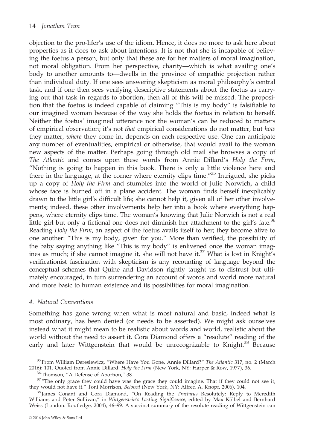objection to the pro-lifer's use of the idiom. Hence, it does no more to ask here about properties as it does to ask about intentions. It is not that she is incapable of believing the foetus a person, but only that these are for her matters of moral imagination, not moral obligation. From her perspective, charity—which is what availing one's body to another amounts to—dwells in the province of empathic projection rather than individual duty. If one sees answering skepticism as moral philosophy's central task, and if one then sees verifying descriptive statements about the foetus as carrying out that task in regards to abortion, then all of this will be missed. The proposition that the foetus is indeed capable of claiming "This is my body" is falsifiable to our imagined woman because of the way she holds the foetus in relation to herself. Neither the foetus' imagined utterance nor the woman's can be reduced to matters of empirical observation; it's not that empirical considerations do not matter, but how they matter, where they come in, depends on each respective use. One can anticipate any number of eventualities, empirical or otherwise, that would avail to the woman new aspects of the matter. Perhaps going through old mail she browses a copy of The Atlantic and comes upon these words from Annie Dillard's Holy the Firm, "Nothing is going to happen in this book. There is only a little violence here and there in the language, at the corner where eternity clips time.<sup>"35</sup> Intrigued, she picks up a copy of Holy the Firm and stumbles into the world of Julie Norwich, a child whose face is burned off in a plane accident. The woman finds herself inexplicably drawn to the little girl's difficult life; she cannot help it, given all of her other involvements; indeed, these other involvements help her into a book where everything happens, where eternity clips time. The woman's knowing that Julie Norwich is not a real little girl but only a fictional one does not diminish her attachment to the girl's fate.<sup>36</sup> Reading Holy the Firm, an aspect of the foetus avails itself to her; they become alive to one another: "This is my body, given for you." More than verified, the possibility of the baby saying anything like "This is my body" is enlivened once the woman imagines as much; if she cannot imagine it, she will not have it.37 What is lost in Knight's verificationist fascination with skepticism is any recounting of language beyond the conceptual schemes that Quine and Davidson rightly taught us to distrust but ultimately encouraged, in turn surrendering an account of words and world more natural and more basic to human existence and its possibilities for moral imagination.

# 4. Natural Conventions

Something has gone wrong when what is most natural and basic, indeed what is most ordinary, has been denied (or needs to be asserted). We might ask ourselves instead what it might mean to be realistic about words and world, realistic about the world without the need to assert it. Cora Diamond offers a "resolute" reading of the early and later Wittgenstein that would be unrecognizable to Knight.<sup>38</sup> Because

<sup>&</sup>lt;sup>35</sup> From William Deresiewicz, "Where Have You Gone, Annie Dillard?" The Atlantic 317, no. 2 (March 2016): 101. Quoted from Annie Dillard, Holy the Firm (New York, NY: Harper & Row, 1977), 36.

<sup>36</sup> Thomson, "A Defense of Abortion," 38.

<sup>&</sup>lt;sup>37</sup> "The only grace they could have was the grace they could imagine. That if they could not see it, they would not have it." Toni Morrison, Beloved (New York, NY: Alfred A. Knopf, 2006), 104.

<sup>&</sup>lt;sup>38</sup> James Conant and Cora Diamond, "On Reading the Tractatus Resolutely: Reply to Meredith Williams and Peter Sullivan," in Wittgenstein's Lasting Significance, edited by Max Kölbel and Bernhard Weiss (London: Routledge, 2004), 46–99. A succinct summary of the resolute reading of Wittgenstein can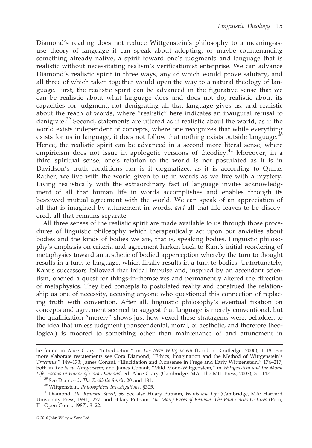Diamond's reading does not reduce Wittgenstein's philosophy to a meaning-asuse theory of language it can speak about adopting, or maybe countenancing something already native, a spirit toward one's judgments and language that is realistic without necessitating realism's verificationist enterprise. We can advance Diamond's realistic spirit in three ways, any of which would prove salutary, and all three of which taken together would open the way to a natural theology of language. First, the realistic spirit can be advanced in the figurative sense that we can be realistic about what language does and does not do, realistic about its capacities for judgment, not denigrating all that language gives us, and realistic about the reach of words, where "realistic" here indicates an inaugural refusal to denigrate.<sup>39</sup> Second, statements are uttered as if realistic about the world, as if the world exists independent of concepts, where one recognizes that while everything exists for us in language, it does not follow that nothing exists outside language. $40$ Hence, the realistic spirit can be advanced in a second more literal sense, where empiricism does not issue in apologetic versions of theodicy.<sup>41</sup> Moreover, in a third spiritual sense, one's relation to the world is not postulated as it is in Davidson's truth conditions nor is it dogmatized as it is according to Quine. Rather, we live with the world given to us in words as we live with a mystery. Living realistically with the extraordinary fact of language invites acknowledgment of all that human life in words accomplishes and enables through its bestowed mutual agreement with the world. We can speak of an appreciation of all that is imagined by attunement in words, and all that life leaves to be discovered, all that remains separate.

All three senses of the realistic spirit are made available to us through those procedures of linguistic philosophy which therapeutically act upon our anxieties about bodies and the kinds of bodies we are, that is, speaking bodies. Linguistic philosophy's emphasis on criteria and agreement harken back to Kant's initial reordering of metaphysics toward an aesthetic of bodied apperception whereby the turn to thought results in a turn to language, which finally results in a turn to bodies. Unfortunately, Kant's successors followed that initial impulse and, inspired by an ascendant scientism, opened a quest for things-in-themselves and permanently altered the direction of metaphysics. They tied concepts to postulated reality and construed the relationship as one of necessity, accusing anyone who questioned this connection of replacing truth with convention. After all, linguistic philosophy's eventual fixation on concepts and agreement seemed to suggest that language is merely conventional, but the qualification "merely" shows just how vexed these stratagems were, beholden to the idea that unless judgment (transcendental, moral, or aesthetic, and therefore theological) is moored to something other than maintenance of and attunement in

be found in Alice Crary, "Introduction," in The New Wittgenstein (London: Routledge, 2000), 1–18. For more elaborate restatements see Cora Diamond, "Ethics, Imagination and the Method of Wittgenstein's Tractatus," 149–173; James Conant, "Elucidation and Nonsense in Frege and Early Wittgenstein," 174–217, both in The New Wittgenstein; and James Conant, "Mild Mono-Wittgenstein," in Wittgenstein and the Moral Life: Essays in Honor of Cora Diamond, ed. Alice Crary (Cambridge, MA: The MIT Press, 2007), 31–142.

<sup>&</sup>lt;sup>39</sup> See Diamond, The Realistic Spirit, 20 and 181.

<sup>40</sup>Wittgenstein, Philosophical Investigations, §305.

<sup>&</sup>lt;sup>41</sup> Diamond, The Realistic Spirit, 56. See also Hilary Putnam, Words and Life (Cambridge, MA: Harvard University Press, 1994), 277; and Hilary Putnam, The Many Faces of Realism: The Paul Carus Lectures (Peru, IL: Open Court, 1987), 3–22.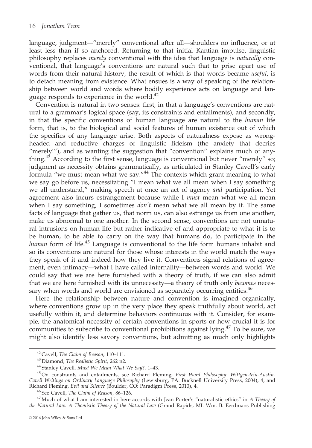language, judgment—"merely" conventional after all—shoulders no influence, or at least less than if so anchored. Returning to that initial Kantian impulse, linguistic philosophy replaces merely conventional with the idea that language is naturally conventional, that language's conventions are natural such that to prise apart use of words from their natural history, the result of which is that words became useful, is to detach meaning from existence. What ensues is a way of speaking of the relationship between world and words where bodily experience acts on language and language responds to experience in the world. $42$ 

Convention is natural in two senses: first, in that a language's conventions are natural to a grammar's logical space (say, its constraints and entailments), and secondly, in that the specific conventions of human language are natural to the *human* life form, that is, to the biological and social features of human existence out of which the specifics of any language arise. Both aspects of naturalness expose as wrongheaded and reductive charges of linguistic fideism (the anxiety that decries "merely!"), and as wanting the suggestion that "convention" explains much of anything.43 According to the first sense, language is conventional but never "merely" so; judgment as necessity obtains grammatically, as articulated in Stanley Cavell's early formula "we must mean what we say."44 The contexts which grant meaning to what we say go before us, necessitating "I mean what we all mean when I say something we all understand," making speech at once an act of agency *and* participation. Yet agreement also incurs estrangement because while I must mean what we all mean when I say something, I sometimes  $don't$  mean what we all mean by it. The same facts of language that gather us, that norm us, can also estrange us from one another, make us abnormal to one another. In the second sense, conventions are not unnatural intrusions on human life but rather indicative of and appropriate to what it is to be human, to be able to carry on the way that humans do, to participate in the human form of life.<sup>45</sup> Language is conventional to the life form humans inhabit and so its conventions are natural for those whose interests in the world match the ways they speak of it and indeed how they live it. Conventions signal relations of agreement, even intimacy—what I have called internality—between words and world. We could say that we are here furnished with a theory of truth, if we can also admit that we are here furnished with its unnecessity—a theory of truth only becomes necessary when words and world are envisioned as separately occurring entities.<sup>46</sup>

Here the relationship between nature and convention is imagined organically, where conventions grow up in the very place they speak truthfully about world, act usefully within it, and determine behaviors continuous with it. Consider, for example, the anatomical necessity of certain conventions in sports or how crucial it is for communities to subscribe to conventional prohibitions against lying.47 To be sure, we might also identify less savory conventions, but admitting as much only highlights

<sup>42</sup> Cavell, The Claim of Reason, 110–111.

<sup>&</sup>lt;sup>43</sup> Diamond, The Realistic Spirit, 262 n2.

<sup>44</sup> Stanley Cavell, Must We Mean What We Say?, 1–43.

<sup>&</sup>lt;sup>45</sup> On constraints and entailments, see Richard Fleming, First Word Philosophy: Wittgenstein-Austin-Cavell Writings on Ordinary Language Philosophy (Lewisburg, PA: Bucknell University Press, 2004), 4; and Richard Fleming, Evil and Silence (Boulder, CO: Paradigm Press, 2010), 4.

<sup>46</sup> See Cavell, The Claim of Reason, 86–126.

 $47$  Much of what I am interested in here accords with Jean Porter's "naturalistic ethics" in A Theory of the Natural Law: A Thomistic Theory of the Natural Law (Grand Rapids, MI: Wm. B. Eerdmans Publishing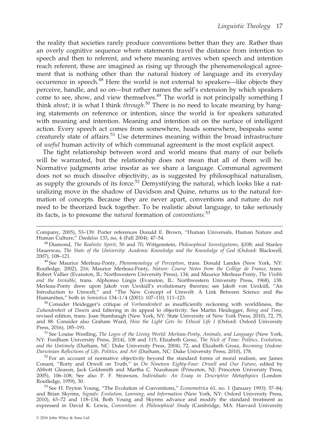the reality that societies rarely produce conventions better than they are. Rather than an overly cognitive sequence where statements travel the distance from intention to speech and then to referent, and where meaning arrives when speech and intention reach referent, these are imagined as rising up through the phenomenological agreement that is nothing other than the natural history of language and its everyday occurrence in speech.<sup>48</sup> Here the world is not external to speakers—like objects they perceive, handle, and so on—but rather names the self's extension by which speakers come to see, show, and view themselves.<sup>49</sup> The world is not principally something I think *about*; it is what I think *through*.<sup>50</sup> There is no need to locate meaning by hanging statements on reference or intention, since the world is for speakers saturated with meaning and intention. Meaning and intention sit on the surface of intelligent action. Every speech act comes from somewhere, heads somewhere, bespeaks some creaturely state of affairs.<sup>51</sup> Use determines meaning within the broad infrastructure of useful human activity of which communal agreement is the most explicit aspect.

The tight relationship between word and world means that many of our beliefs will be warranted, but the relationship does not mean that all of them will be. Normative judgments arise insofar as we share a language. Communal agreement does not so much dissolve objectivity, as is suggested by philosophical naturalism, as supply the grounds of its force.<sup>52</sup> Demystifying the natural, which looks like a naturalizing move in the shadow of Davidson and Quine, returns us to the natural formation of concepts. Because they are never apart, conventions and nature do not need to be theorized back together. To be realistic about language, to take seriously its facts, is to presume the natural formation of conventions.<sup>53</sup>

<sup>49</sup> See Maurice Merleau-Ponty, Phenomenology of Perception, trans. Donald Landes (New York, NY: Routledge, 2002), 216; Maurice Merleau-Ponty, Nature: Course Notes from the Collège de France, trans. Robert Vallier (Evanston, IL: Northwestern University Press), 134; and Maurice Merleau-Ponty, The Visible and the Invisible, trans. Alphonso Lingis (Evanston, IL: Northwestern University Press, 1968), 138. Merleau-Ponty drew upon Jakob von Uexküll's evolutionary theories; see Jakob von Uexküll, "An Introduction to Umwelt," and "The New Concept of Umwelt: A Link Between Science and the Humanities," both in Semiotica 134–1/4 (2001): 107–110; 111–123.

 $50$  Consider Heidegger's critique of *Vorhandenheit* as insufficiently reckoning with worldliness, the Zuhandenheit of Dasein and faltering in its appeal to objectivity. See Martin Heidegger, Being and Time, revised edition, trans. Joan Stambaugh (New York, NY: State University of New York Press, 2010), 72, 75, and 88. Consider also Graham Ward, How the Light Gets In: Ethical Life I (Oxford: Oxford University Press, 2016), 185–191.

<sup>51</sup> See Louise Westling, The Logos of the Living World: Merleau-Ponty, Animals, and Language (New York, NY: Fordham University Press, 2014), 108 and 115; Elizabeth Grosz, The Nick of Time: Politics, Evolution, and the Untimely (Durham, NC: Duke University Press, 2004), 72; and Elizabeth Grosz, Becoming Undone: Darwinian Reflections of Life, Politics, and Art (Durham, NC: Duke University Press, 2010), 178.

<sup>52</sup> For an account of normative objectivity beyond the standard forms of moral realism, see James Conant, "Rorty and Orwell on Truth," in On Nineteen Eighty-Four: Orwell and Our Future, edited by Abbott Gleason, Jack Goldsmith and Martha C. Nussbaum (Princeton, NJ: Princeton University Press, 2005), 106–108; See also P. F. Strawson, Individuals: An Essay in Descriptive Metaphysics (London: Routledge, 1959), 30.

<sup>53</sup> See H. Peyton Young, "The Evolution of Conventions," Econometrica 61, no. 1 (January 1993): 57–84; and Brian Skyrms, Signals: Evolution, Learning, and Information (New York, NY: Oxford University Press, 2010), 63–72 and 118–134. Both Young and Skyrms advance and modify the standard treatment as expressed in David K. Lewis, Convention: A Philosophical Study (Cambridge, MA: Harvard University

Company, 2005), 53–139. Porter references Donald E. Brown, "Human Universals, Human Nature and Human Culture," Daedalus 133, no, 4 (Fall 2004): 47–54.

<sup>&</sup>lt;sup>48</sup> Diamond, The Realistic Spirit, 50 and 70; Wittgenstein, Philosophical Investigations, §108; and Stanley Hauerwas, The State of the University: Academic Knowledge and the Knowledge of God (Oxford: Blackwell, 2007), 108–121.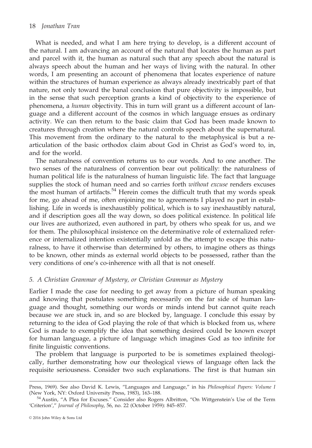What is needed, and what I am here trying to develop, is a different account of the natural. I am advancing an account of the natural that locates the human as part and parcel with it, the human as natural such that any speech about the natural is always speech about the human and her ways of living with the natural. In other words, I am presenting an account of phenomena that locates experience of nature within the structures of human experience as always already inextricably part of that nature, not only toward the banal conclusion that pure objectivity is impossible, but in the sense that such perception grants a kind of objectivity to the experience of phenomena, a human objectivity. This in turn will grant us a different account of language and a different account of the cosmos in which language ensues as ordinary activity. We can then return to the basic claim that God has been made known to creatures through creation where the natural controls speech about the supernatural. This movement from the ordinary to the natural to the metaphysical is but a rearticulation of the basic orthodox claim about God in Christ as God's word to, in, and for the world.

The naturalness of convention returns us to our words. And to one another. The two senses of the naturalness of convention bear out politically: the naturalness of human political life is the naturalness of human linguistic life. The fact that language supplies the stock of human need and so carries forth without excuse renders excuses the most human of artifacts.54 Herein comes the difficult truth that my words speak for me, go ahead of me, often enjoining me to agreements I played no part in establishing. Life in words is inexhaustibly political, which is to say inexhaustibly natural, and if description goes all the way down, so does political existence. In political life our lives are authorized, even authored in part, by others who speak for us, and we for them. The philosophical insistence on the determinative role of externalized reference or internalized intention existentially unfold as the attempt to escape this naturalness, to have it otherwise than determined by others, to imagine others as things to be known, other minds as external world objects to be possessed, rather than the very conditions of one's co-inherence with all that is not oneself.

# 5. A Christian Grammar of Mystery, or Christian Grammar as Mystery

Earlier I made the case for needing to get away from a picture of human speaking and knowing that postulates something necessarily on the far side of human language and thought, something our words or minds intend but cannot quite reach because we are stuck in, and so are blocked by, language. I conclude this essay by returning to the idea of God playing the role of that which is blocked from us, where God is made to exemplify the idea that something desired could be known except for human language, a picture of language which imagines God as too infinite for finite linguistic conventions.

The problem that language is purported to be is sometimes explained theologically, further demonstrating how our theological views of language often lack the requisite seriousness. Consider two such explanations. The first is that human sin

Press, 1969). See also David K. Lewis, "Languages and Language," in his Philosophical Papers: Volume I (New York, NY: Oxford University Press, 1983), 163–188.

<sup>54</sup> Austin, "A Plea for Excuses." Consider also Rogers Albritton, "On Wittgenstein's Use of the Term 'Criterion'," Journal of Philosophy, 56, no. 22 (October 1959): 845–857.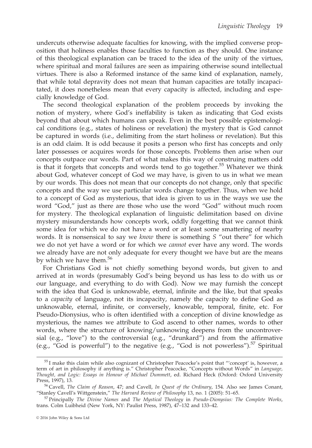undercuts otherwise adequate faculties for knowing, with the implied converse proposition that holiness enables those faculties to function as they should. One instance of this theological explanation can be traced to the idea of the unity of the virtues, where spiritual and moral failures are seen as impairing otherwise sound intellectual virtues. There is also a Reformed instance of the same kind of explanation, namely, that while total depravity does not mean that human capacities are totally incapacitated, it does nonetheless mean that every capacity is affected, including and especially knowledge of God.

The second theological explanation of the problem proceeds by invoking the notion of mystery, where God's ineffability is taken as indicating that God exists beyond that about which humans can speak. Even in the best possible epistemological conditions (e.g., states of holiness or revelation) the mystery that is God cannot be captured in words (i.e., delimiting from the start holiness or revelation). But this is an odd claim. It is odd because it posits a person who first has concepts and only later possesses or acquires words for those concepts. Problems then arise when our concepts outpace our words. Part of what makes this way of construing matters odd is that it forgets that concepts and words tend to go together.<sup>55</sup> Whatever we think about God, whatever concept of God we may have, is given to us in what we mean by our words. This does not mean that our concepts do not change, only that specific concepts and the way we use particular words change together. Thus, when we hold to a concept of God as mysterious, that idea is given to us in the ways we use the word "God," just as there are those who use the word "God" without much room for mystery. The theological explanation of linguistic delimitation based on divine mystery misunderstands how concepts work, oddly forgetting that we cannot think some idea for which we do not have a word or at least some smattering of nearby words. It is nonsensical to say we *know* there is something  $S$  "out there" for which we do not yet have a word or for which we cannot ever have any word. The words we already have are not only adequate for every thought we have but are the means by which we have them.<sup>56</sup>

For Christians God is not chiefly something beyond words, but given to and arrived at in words (presumably God's being beyond us has less to do with us or our language, and everything to do with God). Now we may furnish the concept with the idea that God is unknowable, eternal, infinite and the like, but that speaks to a capacity of language, not its incapacity, namely the capacity to define God as unknowable, eternal, infinite, or conversely, knowable, temporal, finite, etc. For Pseudo-Dionysius, who is often identified with a conception of divine knowledge as mysterious, the names we attribute to God ascend to other names, words to other words, where the structure of knowing/unknowing deepens from the uncontroversial (e.g., "love") to the controversial (e.g., "drunkard") and from the affirmative (e.g., "God is powerful") to the negative (e.g., "God is not powerless").<sup>57</sup> Spiritual

 $<sup>55</sup>$  I make this claim while also cognizant of Christopher Peacocke's point that "'concept' is, however, a</sup> term of art in philosophy if anything is." Christopher Peacocke, "Concepts without Words" in Language, Thought, and Logic: Essays in Honour of Michael Dummett, ed. Richard Heck (Oxford: Oxford University Press, 1997), 13.

<sup>&</sup>lt;sup>56</sup> Cavell, The Claim of Reason, 47; and Cavell, In Quest of the Ordinary, 154. Also see James Conant, "Stanley Cavell's Wittgenstein," The Harvard Review of Philosophy 13, no. 1 (2005): 51–65.

<sup>&</sup>lt;sup>57</sup> Principally The Divine Names and The Mystical Theology in Pseudo-Dionysius: The Complete Works, trans. Colm Luibheid (New York, NY: Paulist Press, 1987), 47–132 and 133–42.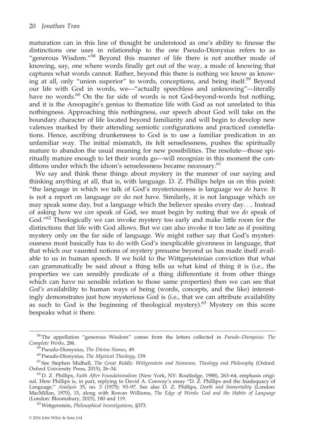maturation can in this line of thought be understood as one's ability to finesse the distinctions one uses in relationship to the one Pseudo-Dionysius refers to as "generous Wisdom."58 Beyond this manner of life there is not another mode of knowing, say, one where words finally get out of the way, a mode of knowing that captures what words cannot. Rather, beyond this there is nothing we know as knowing at all, only "union superior" to words, conceptions, and being itself.<sup>59</sup> Beyond our life with God in words, we—"actually speechless and unknowing"—literally have no words.<sup>60</sup> On the far side of words is not God-beyond-words but nothing, and it is the Areopagite's genius to thematize life with God as not unrelated to this nothingness. Approaching this nothingness, our speech about God will take on the boundary character of life located beyond familiarity and will begin to develop new valences marked by their attending semiotic configurations and practiced constellations. Hence, ascribing drunkenness to God is to use a familiar predication in an unfamiliar way. The initial mismatch, its felt senselessness, pushes the spiritually mature to abandon the usual meaning for new possibilities. The resolute—those spiritually mature enough to let their words go—will recognize in this moment the conditions under which the idiom's senselessness became necessary.<sup>61</sup>

We say and think these things about mystery in the manner of our saying and thinking anything at all, that is, with language. D. Z. Phillips helps us on this point: "the language in which we talk of God's mysteriousness is language we do have. It is not a report on language  $we$  do not have. Similarly, it is not language which we may speak some day, but a language which the believer speaks every day.... Instead of asking how we can speak of God, we must begin by noting that we do speak of God. $10^{62}$  Theologically we can invoke mystery too early and make little room for the distinctions that life with God allows. But we can also invoke it too late as if positing mystery only on the far side of language. We might rather say that God's mysteriousness most basically has to do with God's inexplicable givenness in language, that that which our vaunted notions of mystery presume beyond us has made itself available to us in human speech. If we hold to the Wittgensteinian conviction that what can grammatically be said about a thing tells us what kind of thing it is (i.e., the properties we can sensibly predicate of a thing differentiate it from other things which can have no sensible relation to those same properties) then we can see that God's availability to human ways of being (words, concepts, and the like) interestingly demonstrates just how mysterious God is (i.e., that we can attribute availability as such to God is the beginning of theological mystery).<sup>63</sup> Mystery on this score bespeaks what is there.

<sup>&</sup>lt;sup>58</sup> The appellation "generous Wisdom" comes from the letters collected in Pseudo-Dionysius: The Complete Works, 286.

<sup>59</sup> Pseudo-Dionysius, The Divine Names, 49.

<sup>60</sup> Pseudo-Dionysius, The Mystical Theology, 139.

 $61$  See Stephen Mulhall, The Great Riddle: Wittgenstein and Nonsense, Theology and Philosophy (Oxford: Oxford University Press, 2015), 26–34.

 $62$  D. Z. Phillips, Faith After Foundationalism (New York, NY: Routledge, 1988), 263–64, emphasis original. Here Phillips is, in part, replying to David A. Conway's essay "D. Z. Phillips and the Inadequacy of Language," Analysis 35, no. 3 (1975): 93-97. See also D. Z. Phillips, Death and Immortality (London: MacMillan, 1970), 15, along with Rowan Williams, The Edge of Words: God and the Habits of Language (London: Bloomsbury, 2015), 180 and 119.

<sup>63</sup>Wittgenstein, Philosophical Investigations, §373.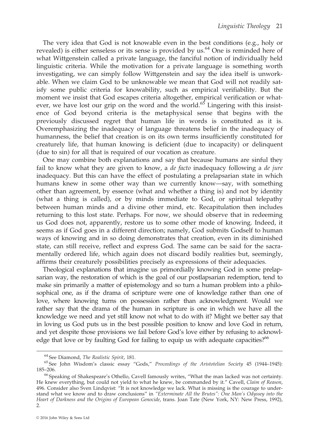The very idea that God is not knowable even in the best conditions (e.g., holy or revealed) is either senseless or its sense is provided by us. $64$  One is reminded here of what Wittgenstein called a private language, the fanciful notion of individually held linguistic criteria. While the motivation for a private language is something worth investigating, we can simply follow Wittgenstein and say the idea itself is unworkable. When we claim God to be unknowable we mean that God will not readily satisfy some public criteria for knowability, such as empirical verifiability. But the moment we insist that God escapes criteria altogether, empirical verification or whatever, we have lost our grip on the word and the world.<sup>65</sup> Lingering with this insistence of God beyond criteria is the metaphysical sense that begins with the previously discussed regret that human life in words is constituted as it is. Overemphasizing the inadequacy of language threatens belief in the inadequacy of humanness, the belief that creation is on its own terms insufficiently constituted for creaturely life, that human knowing is deficient (due to incapacity) or delinquent (due to sin) for all that is required of our vocation as creature.

One may combine both explanations and say that because humans are sinful they fail to know what they are given to know, a *de facto* inadequacy following a *de jure* inadequacy. But this can have the effect of postulating a prelapsarian state in which humans knew in some other way than we currently know—say, with something other than agreement, by essence (what and whether a thing is) and not by identity (what a thing is called), or by minds immediate to God, or spiritual telepathy between human minds and a divine other mind, etc. Recapitulation then includes returning to this lost state. Perhaps. For now, we should observe that in redeeming us God does not, apparently, restore us to some other mode of knowing. Indeed, it seems as if God goes in a different direction; namely, God submits Godself to human ways of knowing and in so doing demonstrates that creation, even in its diminished state, can still receive, reflect and express God. The same can be said for the sacramentally ordered life, which again does not discard bodily realities but, seemingly, affirms their creaturely possibilities precisely as expressions of their adequacies.

Theological explanations that imagine us primordially knowing God in some prelapsarian way, the restoration of which is the goal of our postlapsarian redemption, tend to make sin primarily a matter of epistemology and so turn a human problem into a philosophical one, as if the drama of scripture were one of knowledge rather than one of love, where knowing turns on possession rather than acknowledgment. Would we rather say that the drama of the human in scripture is one in which we have all the knowledge we need and yet still know not what to do with it? Might we better say that in loving us God puts us in the best possible position to know and love God in return, and yet despite those provisions we fail before God's love either by refusing to acknowledge that love or by faulting God for failing to equip us with adequate capacities?<sup>66</sup>

<sup>&</sup>lt;sup>64</sup> See Diamond, The Realistic Spirit, 181.

<sup>65</sup> See John Wisdom's classic essay "Gods," Proceedings of the Aristotelian Society 45 (1944–1945): 185–206.

<sup>66</sup> Speaking of Shakespeare's Othello, Cavell famously writes, "What the man lacked was not certainty. He knew everything, but could not yield to what he knew, be commanded by it." Cavell, Claim of Reason, 496. Consider also Sven Lindqvist: "It is not knowledge we lack. What is missing is the courage to understand what we know and to draw conclusions" in "Exterminate All the Brutes": One Man's Odyssey into the Heart of Darkness and the Origins of European Genocide, trans. Joan Tate (New York, NY: New Press, 1992),  $\mathcal{L}$